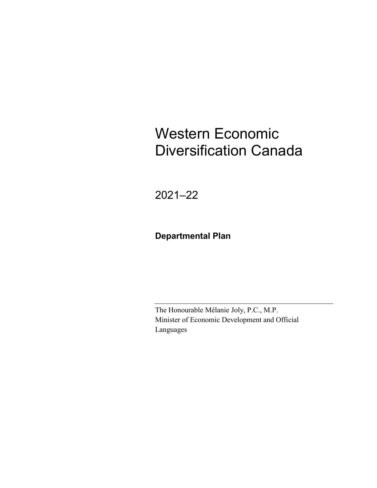# Western Economic Diversification Canada

2021–22

### **Departmental Plan**

The Honourable Mélanie Joly, P.C., M.P. Minister of Economic Development and Official Languages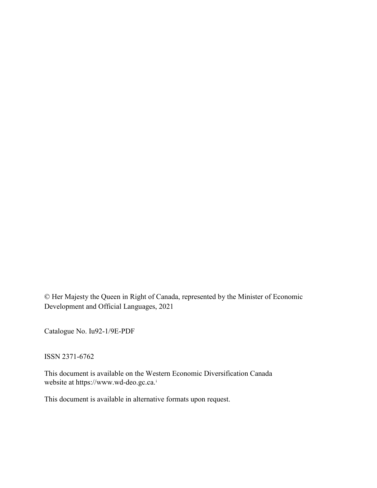© Her Majesty the Queen in Right of Canada, represented by the Minister of Economic Development and Official Languages, 2021

Catalogue No. Iu92-1/9E-PDF

ISSN 2371-6762

This document is available on the Western Economic Diversification Canada website at [https://www.wd-deo.gc.ca.](http://www.wd-deo.gc.ca/)[i](#page-32-0)

This document is available in alternative formats upon request.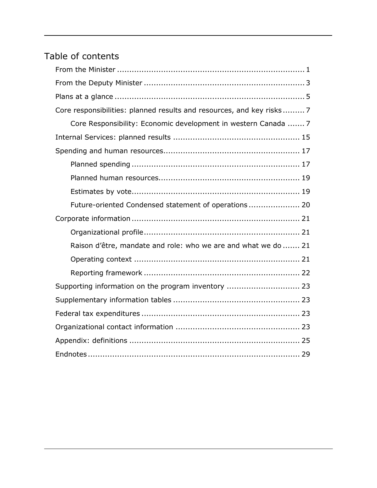## Table of contents

| Core responsibilities: planned results and resources, and key risks 7 |
|-----------------------------------------------------------------------|
| Core Responsibility: Economic development in western Canada  7        |
|                                                                       |
|                                                                       |
|                                                                       |
|                                                                       |
|                                                                       |
| Future-oriented Condensed statement of operations 20                  |
|                                                                       |
|                                                                       |
| Raison d'être, mandate and role: who we are and what we do  21        |
|                                                                       |
|                                                                       |
| Supporting information on the program inventory  23                   |
|                                                                       |
|                                                                       |
|                                                                       |
|                                                                       |
|                                                                       |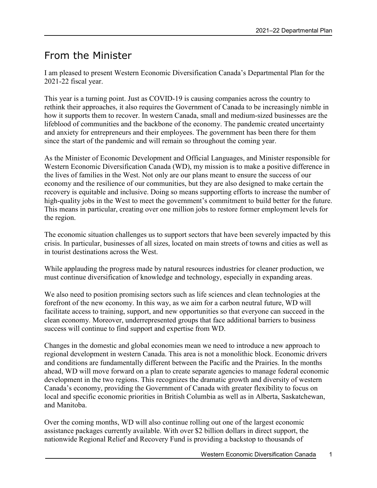### <span id="page-4-0"></span>From the Minister

I am pleased to present Western Economic Diversification Canada's Departmental Plan for the 2021-22 fiscal year.

This year is a turning point. Just as COVID-19 is causing companies across the country to rethink their approaches, it also requires the Government of Canada to be increasingly nimble in how it supports them to recover. In western Canada, small and medium-sized businesses are the lifeblood of communities and the backbone of the economy. The pandemic created uncertainty and anxiety for entrepreneurs and their employees. The government has been there for them since the start of the pandemic and will remain so throughout the coming year.

As the Minister of Economic Development and Official Languages, and Minister responsible for Western Economic Diversification Canada (WD), my mission is to make a positive difference in the lives of families in the West. Not only are our plans meant to ensure the success of our economy and the resilience of our communities, but they are also designed to make certain the recovery is equitable and inclusive. Doing so means supporting efforts to increase the number of high-quality jobs in the West to meet the government's commitment to build better for the future. This means in particular, creating over one million jobs to restore former employment levels for the region.

The economic situation challenges us to support sectors that have been severely impacted by this crisis. In particular, businesses of all sizes, located on main streets of towns and cities as well as in tourist destinations across the West.

While applauding the progress made by natural resources industries for cleaner production, we must continue diversification of knowledge and technology, especially in expanding areas.

We also need to position promising sectors such as life sciences and clean technologies at the forefront of the new economy. In this way, as we aim for a carbon neutral future, WD will facilitate access to training, support, and new opportunities so that everyone can succeed in the clean economy. Moreover, underrepresented groups that face additional barriers to business success will continue to find support and expertise from WD.

Changes in the domestic and global economies mean we need to introduce a new approach to regional development in western Canada. This area is not a monolithic block. Economic drivers and conditions are fundamentally different between the Pacific and the Prairies. In the months ahead, WD will move forward on a plan to create separate agencies to manage federal economic development in the two regions. This recognizes the dramatic growth and diversity of western Canada's economy, providing the Government of Canada with greater flexibility to focus on local and specific economic priorities in British Columbia as well as in Alberta, Saskatchewan, and Manitoba.

Over the coming months, WD will also continue rolling out one of the largest economic assistance packages currently available. With over \$2 billion dollars in direct support, the nationwide Regional Relief and Recovery Fund is providing a backstop to thousands of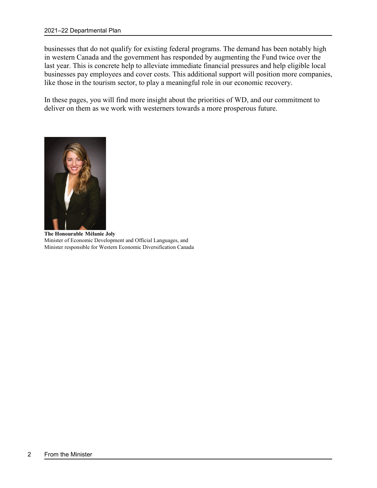businesses that do not qualify for existing federal programs. The demand has been notably high in western Canada and the government has responded by augmenting the Fund twice over the last year. This is concrete help to alleviate immediate financial pressures and help eligible local businesses pay employees and cover costs. This additional support will position more companies, like those in the tourism sector, to play a meaningful role in our economic recovery.

In these pages, you will find more insight about the priorities of WD, and our commitment to deliver on them as we work with westerners towards a more prosperous future.



**The Honourable Mélanie Joly** Minister of Economic Development and Official Languages, and Minister responsible for Western Economic Diversification Canada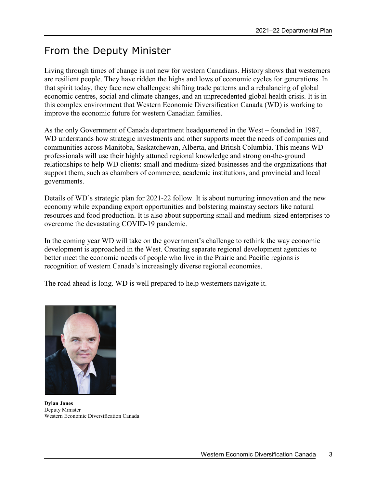## <span id="page-6-0"></span>From the Deputy Minister

Living through times of change is not new for western Canadians. History shows that westerners are resilient people. They have ridden the highs and lows of economic cycles for generations. In that spirit today, they face new challenges: shifting trade patterns and a rebalancing of global economic centres, social and climate changes, and an unprecedented global health crisis. It is in this complex environment that Western Economic Diversification Canada (WD) is working to improve the economic future for western Canadian families.

As the only Government of Canada department headquartered in the West – founded in 1987, WD understands how strategic investments and other supports meet the needs of companies and communities across Manitoba, Saskatchewan, Alberta, and British Columbia. This means WD professionals will use their highly attuned regional knowledge and strong on-the-ground relationships to help WD clients: small and medium-sized businesses and the organizations that support them, such as chambers of commerce, academic institutions, and provincial and local governments.

Details of WD's strategic plan for 2021-22 follow. It is about nurturing innovation and the new economy while expanding export opportunities and bolstering mainstay sectors like natural resources and food production. It is also about supporting small and medium-sized enterprises to overcome the devastating COVID-19 pandemic.

In the coming year WD will take on the government's challenge to rethink the way economic development is approached in the West. Creating separate regional development agencies to better meet the economic needs of people who live in the Prairie and Pacific regions is recognition of western Canada's increasingly diverse regional economies.

The road ahead is long. WD is well prepared to help westerners navigate it.



**Dylan Jones** Deputy Minister Western Economic Diversification Canada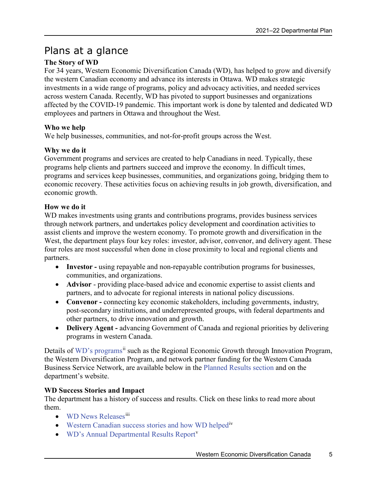### <span id="page-8-0"></span>Plans at a glance

#### **The Story of WD**

For 34 years, Western Economic Diversification Canada (WD), has helped to grow and diversify the western Canadian economy and advance its interests in Ottawa. WD makes strategic investments in a wide range of programs, policy and advocacy activities, and needed services across western Canada. Recently, WD has pivoted to support businesses and organizations affected by the COVID-19 pandemic. This important work is done by talented and dedicated WD employees and partners in Ottawa and throughout the West.

#### **Who we help**

We help businesses, communities, and not-for-profit groups across the West.

#### **Why we do it**

Government programs and services are created to help Canadians in need. Typically, these programs help clients and partners succeed and improve the economy. In difficult times, programs and services keep businesses, communities, and organizations going, bridging them to economic recovery. These activities focus on achieving results in job growth, diversification, and economic growth.

#### **How we do it**

WD makes investments using grants and contributions programs, provides business services through network partners, and undertakes policy development and coordination activities to assist clients and improve the western economy. To promote growth and diversification in the West, the department plays four key roles: investor, advisor, convenor, and delivery agent. These four roles are most successful when done in close proximity to local and regional clients and partners.

- **Investor -** using repayable and non-repayable contribution programs for businesses, communities, and organizations.
- **Advisor** providing place-based advice and economic expertise to assist clients and partners, and to advocate for regional interests in national policy discussions.
- **Convenor -** connecting key economic stakeholders, including governments, industry, post-secondary institutions, and underrepresented groups, with federal departments and other partners, to drive innovation and growth.
- **Delivery Agent** advancing Government of Canada and regional priorities by delivering programs in western Canada.

Details of [WD's programs](https://www.wd-deo.gc.ca/eng/16.asp)<sup>[ii](#page-32-2)</sup> such as the Regional Economic Growth through Innovation Program, the Western Diversification Program, and network partner funding for the Western Canada Business Service Network, are available below in the [Planned Results section](#page-10-0) and on the department's website.

#### **WD Success Stories and Impact**

The department has a history of success and results. Click on these links to read more about them.

- [WD News Releases](https://www.canada.ca/en/news/advanced-news-search/news-results.html)<sup>[iii](#page-32-3)</sup>
- [Western Canadian success stories and how WD helped](https://www.wd-deo.gc.ca/eng/19843.asp)<sup>1v</sup>
- [WD's Annual Departmental Results Report](https://www.wd-deo.gc.ca/eng/20104.asp)<sup>[v](#page-32-5)</sup>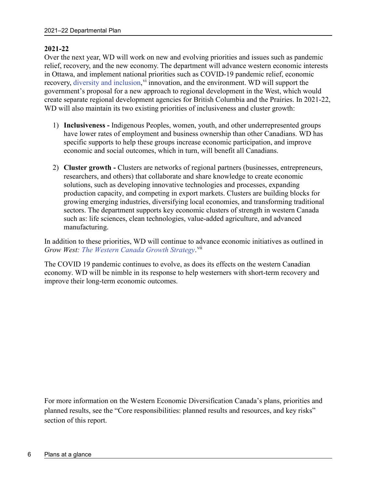#### **2021-22**

Over the next year, WD will work on new and evolving priorities and issues such as pandemic relief, recovery, and the new economy. The department will advance western economic interests in Ottawa, and implement national priorities such as COVID-19 pandemic relief, economic recovery, [diversity and inclusion,](https://www.canada.ca/en/government/publicservice/wellness-inclusion-diversity-public-service/diversity-inclusion-public-service.html) v<sup>i</sup> innovation, and the en[vi](#page-32-6)ronment. WD will support the government's proposal for a new approach to regional development in the West, which would create separate regional development agencies for British Columbia and the Prairies. In 2021-22, WD will also maintain its two existing priorities of inclusiveness and cluster growth:

- 1) **Inclusiveness -** Indigenous Peoples, women, youth, and other underrepresented groups have lower rates of employment and business ownership than other Canadians. WD has specific supports to help these groups increase economic participation, and improve economic and social outcomes, which in turn, will benefit all Canadians.
- 2) **Cluster growth -** Clusters are networks of regional partners (businesses, entrepreneurs, researchers, and others) that collaborate and share knowledge to create economic solutions, such as developing innovative technologies and processes, expanding production capacity, and competing in export markets. Clusters are building blocks for growing emerging industries, diversifying local economies, and transforming traditional sectors. The department supports key economic clusters of strength in western Canada such as: life sciences, clean technologies, value-added agriculture, and advanced manufacturing.

In addition to these priorities, WD will continue to advance economic initiatives as outlined in Grow West: [The Western Canada Growth Strategy](https://www.wd-deo.gc.ca/eng/19876.asp).<sup>[vii](#page-32-7)</sup>

The COVID 19 pandemic continues to evolve, as does its effects on the western Canadian economy. WD will be nimble in its response to help westerners with short-term recovery and improve their long-term economic outcomes.

For more information on the Western Economic Diversification Canada's plans, priorities and planned results, see the "Core responsibilities: planned results and resources, and key risks" section of this report.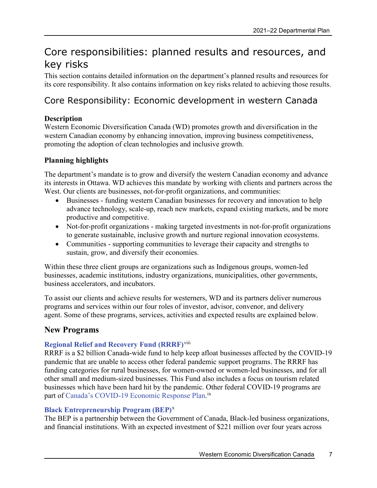## <span id="page-10-0"></span>Core responsibilities: planned results and resources, and key risks

This section contains detailed information on the department's planned results and resources for its core responsibility. It also contains information on key risks related to achieving those results.

### <span id="page-10-1"></span>Core Responsibility: Economic development in western Canada

#### **Description**

Western Economic Diversification Canada (WD) promotes growth and diversification in the western Canadian economy by enhancing innovation, improving business competitiveness, promoting the adoption of clean technologies and inclusive growth.

#### **Planning highlights**

The department's mandate is to grow and diversify the western Canadian economy and advance its interests in Ottawa. WD achieves this mandate by working with clients and partners across the West. Our clients are businesses, not-for-profit organizations, and communities:

- Businesses funding western Canadian businesses for recovery and innovation to help advance technology, scale-up, reach new markets, expand existing markets, and be more productive and competitive.
- Not-for-profit organizations making targeted investments in not-for-profit organizations to generate sustainable, inclusive growth and nurture regional innovation ecosystems.
- Communities supporting communities to leverage their capacity and strengths to sustain, grow, and diversify their economies.

Within these three client groups are organizations such as Indigenous groups, women-led businesses, academic institutions, industry organizations, municipalities, other governments, business accelerators, and incubators.

To assist our clients and achieve results for westerners, WD and its partners deliver numerous programs and services within our four roles of investor, advisor, convenor, and delivery agent. Some of these programs, services, activities and expected results are explained below.

### **New Programs**

#### **[Regional Relief and Recovery Fund \(RRRF\)](https://www.wd-deo.gc.ca/eng/20059.asp)**[viii](#page-32-8)

RRRF is a \$2 billion Canada-wide fund to help keep afloat businesses affected by the COVID-19 pandemic that are unable to access other federal pandemic support programs. The RRRF has funding categories for rural businesses, for women-owned or women-led businesses, and for all other small and medium-sized businesses. This Fund also includes a focus on tourism related businesses which have been hard hit by the pandemic. Other federal COVID-19 programs are part of [Canada's COVID-19 Economic Response Plan.](https://www.canada.ca/en/department-finance/economic-response-plan.html)<sup>[ix](#page-32-9)</sup>

#### **[Black Entrepreneurship Program \(BEP\)](https://www.ic.gc.ca/eic/site/150.nsf/eng/h_00000.html)**[x](#page-32-10)

The BEP is a partnership between the Government of Canada, Black-led business organizations, and financial institutions. With an expected investment of \$221 million over four years across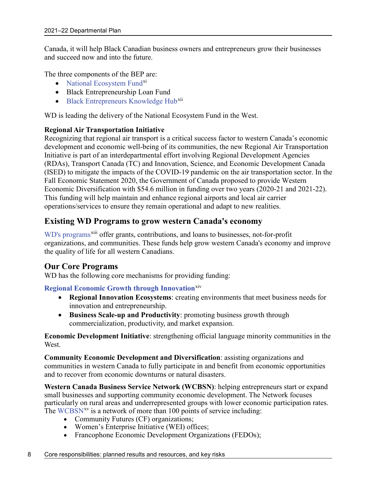Canada, it will help Black Canadian business owners and entrepreneurs grow their businesses and succeed now and into the future.

The three components of the BEP are:

- [National Ecosystem Fund](https://www.ic.gc.ca/eic/site/150.nsf/eng/00003.html)<sup>[xi](#page-32-11)</sup>
- Black Entrepreneurship Loan Fund
- [Black Entrepreneurs Knowledge Hub](https://www.ic.gc.ca/eic/site/150.nsf/eng/00004.html)<sup>[xii](#page-32-12)</sup>

WD is leading the delivery of the National Ecosystem Fund in the West.

#### **Regional Air Transportation Initiative**

Recognizing that regional air transport is a critical success factor to western Canada's economic development and economic well-being of its communities, the new Regional Air Transportation Initiative is part of an interdepartmental effort involving Regional Development Agencies (RDAs), Transport Canada (TC) and Innovation, Science, and Economic Development Canada (ISED) to mitigate the impacts of the COVID-19 pandemic on the air transportation sector. In the Fall Economic Statement 2020, the Government of Canada proposed to provide Western Economic Diversification with \$54.6 million in funding over two years (2020-21 and 2021-22). This funding will help maintain and enhance regional airports and local air carrier operations/services to ensure they remain operational and adapt to new realities.

#### **Existing WD Programs to grow western Canada's economy**

[WD's programs](https://www.wd-deo.gc.ca/eng/16.asp)<sup>[xiii](#page-32-13)</sup> offer grants, contributions, and loans to businesses, not-for-profit organizations, and communities. These funds help grow western Canada's economy and improve the quality of life for all western Canadians.

#### **Our Core Programs**

WD has the following core mechanisms for providing funding:

#### **[Regional Economic Growth through Innovation](https://www.wd-deo.gc.ca/eng/19774.asp)**[xiv](#page-32-14)

- **Regional Innovation Ecosystems**: creating environments that meet business needs for innovation and entrepreneurship.
- **Business Scale-up and Productivity**: promoting business growth through commercialization, productivity, and market expansion.

**Economic Development Initiative**: strengthening official language minority communities in the West.

**Community Economic Development and Diversification**: assisting organizations and communities in western Canada to fully participate in and benefit from economic opportunities and to recover from economic downturns or natural disasters.

**Western Canada Business Service Network (WCBSN)**: helping entrepreneurs start or expand small businesses and supporting community economic development. The Network focuses particularly on rural areas and underrepresented groups with lower economic participation rates. The [WCBSN](https://www.wd-deo.gc.ca/eng/19541.asp)<sup>[xv](#page-32-15)</sup> is a network of more than 100 points of service including:

- Community Futures (CF) organizations;
- Women's Enterprise Initiative (WEI) offices;
- Francophone Economic Development Organizations (FEDOs);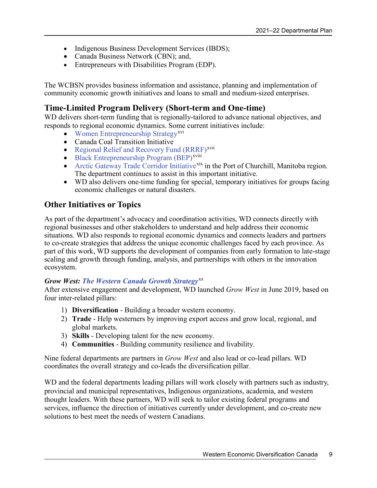- Indigenous Business Development Services (IBDS);
- [Canada Business Network](https://www.wd-deo.gc.ca/eng/253.asp) (CBN); and,
- Entrepreneurs with Disabilities Program (EDP).

The WCBSN provides business information and assistance, planning and implementation of community economic growth initiatives and loans to small and medium-sized enterprises.

#### **Time-Limited Program Delivery (Short-term and One-time)**

WD delivers short-term funding that is regionally-tailored to advance national objectives, and responds to regional economic dynamics. Some current initiatives include:

- [Women Entrepreneurship Strategy](https://www.ic.gc.ca/eic/site/107.nsf/eng/home)<sup>[xvi](#page-32-16)</sup>
- Canada Coal Transition Initiative
- [Regional Relief and Recovery Fund \(RRRF\)](https://www.wd-deo.gc.ca/eng/20059.asp)<sup>[xvii](#page-32-17)</sup>
- [Black Entrepreneurship Program \(BEP\)](https://www.ic.gc.ca/eic/site/150.nsf/eng/h_00000.html)<sup>xviii</sup>
- [Arctic Gateway Trade Corridor Initiative](https://www.wd-deo.gc.ca/eng/19811.asp)<sup>[xix](#page-32-19)</sup> in the Port of Churchill, Manitoba region. The department continues to assist in this important initiative.
- WD also delivers one-time funding for special, temporary initiatives for groups facing economic challenges or natural disasters.

#### **Other Initiatives or Topics**

As part of the department's advocacy and coordination activities, WD connects directly with regional businesses and other stakeholders to understand and help address their economic situations. WD also responds to regional economic dynamics and connects leaders and partners to co-create strategies that address the unique economic challenges faced by each province. As part of this work, WD supports the development of companies from early formation to late-stage scaling and growth through funding, analysis, and partnerships with others in the innovation ecosystem.

#### *Grow West: [The Western Canada Growth Strategy](https://www.wd-deo.gc.ca/eng/19876.asp)*[xx](#page-32-20)

After extensive engagement and development, WD launched *Grow West* in June 2019, based on four inter-related pillars:

- 1) **Diversification** Building a broader western economy.
- 2) **Trade** Help westerners by improving export access and grow local, regional, and global markets.
- 3) **Skills** Developing talent for the new economy.
- 4) **Communities** Building community resilience and livability.

Nine federal departments are partners in *Grow West* and also lead or co-lead pillars. WD coordinates the overall strategy and co-leads the diversification pillar.

WD and the federal departments leading pillars will work closely with partners such as industry, provincial and municipal representatives, Indigenous organizations, academia, and western thought leaders. With these partners, WD will seek to tailor existing federal programs and services, influence the direction of initiatives currently under development, and co-create new solutions to best meet the needs of western Canadians.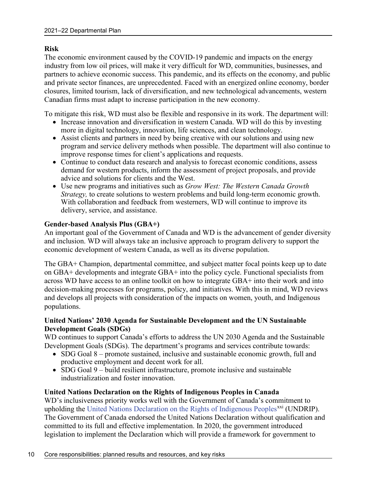#### **Risk**

The economic environment caused by the COVID-19 pandemic and impacts on the energy industry from low oil prices, will make it very difficult for WD, communities, businesses, and partners to achieve economic success. This pandemic, and its effects on the economy, and public and private sector finances, are unprecedented. Faced with an energized online economy, border closures, limited tourism, lack of diversification, and new technological advancements, western Canadian firms must adapt to increase participation in the new economy.

To mitigate this risk, WD must also be flexible and responsive in its work. The department will:

- Increase innovation and diversification in western Canada. WD will do this by investing more in digital technology, innovation, life sciences, and clean technology.
- Assist clients and partners in need by being creative with our solutions and using new program and service delivery methods when possible. The department will also continue to improve response times for client's applications and requests.
- Continue to conduct data research and analysis to forecast economic conditions, assess demand for western products, inform the assessment of project proposals, and provide advice and solutions for clients and the West.
- Use new programs and initiatives such as *Grow West: The Western Canada Growth Strategy,* to create solutions to western problems and build long-term economic growth. With collaboration and feedback from westerners, WD will continue to improve its delivery, service, and assistance.

#### **Gender-based Analysis Plus (GBA+)**

An important goal of the Government of Canada and WD is the advancement of gender diversity and inclusion. WD will always take an inclusive approach to program delivery to support the economic development of western Canada, as well as its diverse population.

The GBA+ Champion, departmental committee, and subject matter focal points keep up to date on GBA+ developments and integrate GBA+ into the policy cycle. Functional specialists from across WD have access to an online toolkit on how to integrate GBA+ into their work and into decision-making processes for programs, policy, and initiatives. With this in mind, WD reviews and develops all projects with consideration of the impacts on women, youth, and Indigenous populations.

#### **United Nations' 2030 Agenda for Sustainable Development and the UN Sustainable Development Goals (SDGs)**

WD continues to support Canada's efforts to address the UN 2030 Agenda and the Sustainable Development Goals (SDGs). The department's programs and services contribute towards:

- SDG Goal 8 promote sustained, inclusive and sustainable economic growth, full and productive employment and decent work for all.
- SDG Goal 9 build resilient infrastructure, promote inclusive and sustainable industrialization and foster innovation.

#### **United Nations Declaration on the Rights of Indigenous Peoples in Canada**

WD's inclusiveness priority works well with the Government of Canada's commitment to upholding the [United Nations Declaration on the Rights of Indigenous Peoples](https://www.justice.gc.ca/eng/declaration/index.html)<sup>[xxi](#page-32-21)</sup> (UNDRIP). The Government of Canada endorsed the United Nations Declaration without qualification and committed to its full and effective implementation. In 2020, the government introduced legislation to implement the Declaration which will provide a framework for government to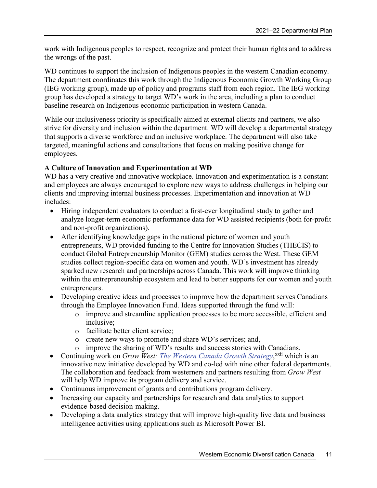work with Indigenous peoples to respect, recognize and protect their human rights and to address the wrongs of the past.

WD continues to support the inclusion of Indigenous peoples in the western Canadian economy. The department coordinates this work through the Indigenous Economic Growth Working Group (IEG working group), made up of policy and programs staff from each region. The IEG working group has developed a strategy to target WD's work in the area, including a plan to conduct baseline research on Indigenous economic participation in western Canada.

While our inclusiveness priority is specifically aimed at external clients and partners, we also strive for diversity and inclusion within the department. WD will develop a departmental strategy that supports a diverse workforce and an inclusive workplace. The department will also take targeted, meaningful actions and consultations that focus on making positive change for employees.

#### **A Culture of Innovation and Experimentation at WD**

WD has a very creative and innovative workplace. Innovation and experimentation is a constant and employees are always encouraged to explore new ways to address challenges in helping our clients and improving internal business processes. Experimentation and innovation at WD includes:

- Hiring independent evaluators to conduct a first-ever longitudinal study to gather and analyze longer-term economic performance data for WD assisted recipients (both for-profit and non-profit organizations).
- After identifying knowledge gaps in the national picture of women and youth entrepreneurs, WD provided funding to the Centre for Innovation Studies (THECIS) to conduct Global Entrepreneurship Monitor (GEM) studies across the West. These GEM studies collect region-specific data on women and youth. WD's investment has already sparked new research and partnerships across Canada. This work will improve thinking within the entrepreneurship ecosystem and lead to better supports for our women and youth entrepreneurs.
- Developing creative ideas and processes to improve how the department serves Canadians through the Employee Innovation Fund. Ideas supported through the fund will:
	- o improve and streamline application processes to be more accessible, efficient and inclusive;
	- o facilitate better client service;
	- o create new ways to promote and share WD's services; and,
	- o improve the sharing of WD's results and success stories with Canadians.
- Continuing work on *Grow West: [The Western Canada Growth Strategy](https://www.wd-deo.gc.ca/eng/19876.asp)*,<sup>[xxii](#page-32-22)</sup> which is an innovative new initiative developed by WD and co-led with nine other federal departments. The collaboration and feedback from westerners and partners resulting from *Grow West* will help WD improve its program delivery and service.
- Continuous improvement of grants and contributions program delivery.
- Increasing our capacity and partnerships for research and data analytics to support evidence-based decision-making.
- Developing a data analytics strategy that will improve high-quality live data and business intelligence activities using applications such as Microsoft Power BI.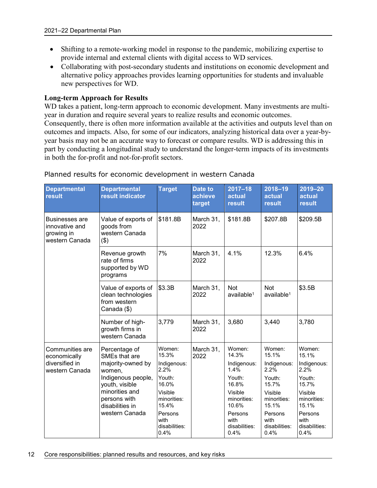- Shifting to a remote-working model in response to the pandemic, mobilizing expertise to provide internal and external clients with digital access to WD services.
- Collaborating with post-secondary students and institutions on economic development and alternative policy approaches provides learning opportunities for students and invaluable new perspectives for WD.

#### **Long-term Approach for Results**

WD takes a patient, long-term approach to economic development. Many investments are multiyear in duration and require several years to realize results and economic outcomes. Consequently, there is often more information available at the activities and outputs level than on outcomes and impacts. Also, for some of our indicators, analyzing historical data over a year-byyear basis may not be an accurate way to forecast or compare results. WD is addressing this in part by conducting a longitudinal study to understand the longer-term impacts of its investments in both the for-profit and not-for-profit sectors.

| <b>Departmental</b><br>result                                       | <b>Departmental</b><br>result indicator                                                                                                                                      | <b>Target</b>                                                                                                                            | <b>Date to</b><br>achieve<br>target | $2017 - 18$<br>actual<br>result                                                                                                          | $2018 - 19$<br>actual<br>result                                                                                                          | 2019-20<br>actual<br><b>result</b>                                                                                                          |
|---------------------------------------------------------------------|------------------------------------------------------------------------------------------------------------------------------------------------------------------------------|------------------------------------------------------------------------------------------------------------------------------------------|-------------------------------------|------------------------------------------------------------------------------------------------------------------------------------------|------------------------------------------------------------------------------------------------------------------------------------------|---------------------------------------------------------------------------------------------------------------------------------------------|
| Businesses are<br>innovative and<br>growing in<br>western Canada    | Value of exports of<br>goods from<br>western Canada<br>(3)                                                                                                                   | \$181.8B                                                                                                                                 | March 31,<br>2022                   | \$181.8B                                                                                                                                 | \$207.8B                                                                                                                                 | \$209.5B                                                                                                                                    |
|                                                                     | Revenue growth<br>rate of firms<br>supported by WD<br>programs                                                                                                               | 7%                                                                                                                                       | March 31,<br>2022                   | 4.1%                                                                                                                                     | 12.3%                                                                                                                                    | 6.4%                                                                                                                                        |
|                                                                     | Value of exports of<br>clean technologies<br>from western<br>Canada (\$)                                                                                                     | \$3.3B                                                                                                                                   | March 31,<br>2022                   | <b>Not</b><br>$a$ vailable <sup>1</sup>                                                                                                  | <b>Not</b><br>$a$ vailable $1$                                                                                                           | \$3.5B                                                                                                                                      |
|                                                                     | Number of high-<br>growth firms in<br>western Canada                                                                                                                         | 3,779                                                                                                                                    | March 31,<br>2022                   | 3,680                                                                                                                                    | 3,440                                                                                                                                    | 3,780                                                                                                                                       |
| Communities are<br>economically<br>diversified in<br>western Canada | Percentage of<br>SMEs that are<br>majority-owned by<br>women,<br>Indigenous people,<br>youth, visible<br>minorities and<br>persons with<br>disabilities in<br>western Canada | Women:<br>15.3%<br>Indigenous:<br>2.2%<br>Youth:<br>16.0%<br>Visible<br>minorities:<br>15.4%<br>Persons<br>with<br>disabilities:<br>0.4% | March 31,<br>2022                   | Women:<br>14.3%<br>Indigenous:<br>1.4%<br>Youth:<br>16.8%<br>Visible<br>minorities:<br>10.6%<br>Persons<br>with<br>disabilities:<br>0.4% | Women:<br>15.1%<br>Indigenous:<br>2.2%<br>Youth:<br>15.7%<br>Visible<br>minorities:<br>15.1%<br>Persons<br>with<br>disabilities:<br>0.4% | Women:<br>15.1%<br>Indigenous:<br>$2.2\%$<br>Youth:<br>15.7%<br>Visible<br>minorities:<br>15.1%<br>Persons<br>with<br>disabilities:<br>0.4% |

#### Planned results for economic development in western Canada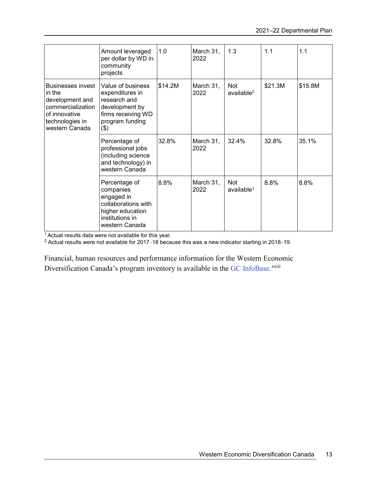|                                                                                                                                  | Amount leveraged<br>per dollar by WD in<br>community<br>projects                                                         | 1.0     | March 31,<br>2022 | 1.3                                  | 1.1     | 1.1     |
|----------------------------------------------------------------------------------------------------------------------------------|--------------------------------------------------------------------------------------------------------------------------|---------|-------------------|--------------------------------------|---------|---------|
| <b>Businesses invest</b><br>in the<br>development and<br>commercialization<br>of innovative<br>technologies in<br>western Canada | Value of business<br>expenditures in<br>research and<br>development by<br>firms receiving WD<br>program funding<br>(3)   | \$14.2M | March 31,<br>2022 | <b>Not</b><br>available <sup>2</sup> | \$21.3M | \$15.8M |
|                                                                                                                                  | Percentage of<br>professional jobs<br>(including science<br>and technology) in<br>western Canada                         | 32.8%   | March 31,<br>2022 | 32.4%                                | 32.8%   | 35.1%   |
|                                                                                                                                  | Percentage of<br>companies<br>engaged in<br>collaborations with<br>higher education<br>institutions in<br>western Canada | 8.8%    | March 31,<br>2022 | <b>Not</b><br>$a$ vailable $1$       | 8.8%    | 8.8%    |

<sup>1</sup> Actual results data were not available for this year.

<sup>2</sup> Actual results were not available for 2017–18 because this was a new indicator starting in 2018–19.

Financial, human resources and performance information for the Western Economic Diversification Canada's program inventory is available in the [GC InfoBase.](https://www.tbs-sct.gc.ca/ems-sgd/edb-bdd/index-eng.html#start)<sup>xxiii</sup>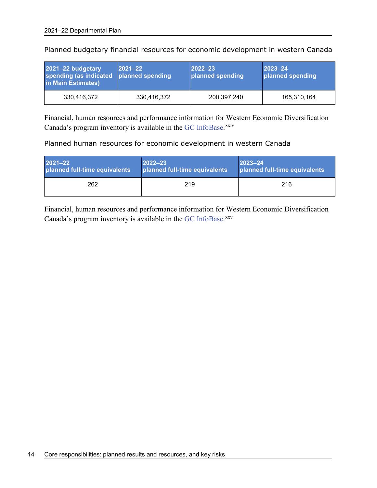| 2021-22 budgetary<br>spending (as indicated<br>in Main Estimates) | $ 2021 - 22 $<br>planned spending | $2022 - 23$<br>planned spending | $2023 - 24$<br>planned spending |
|-------------------------------------------------------------------|-----------------------------------|---------------------------------|---------------------------------|
| 330.416.372                                                       | 330,416,372                       | 200,397,240                     | 165,310,164                     |

Planned budgetary financial resources for economic development in western Canada

Financial, human resources and performance information for Western Economic Diversification Canada's program inventory is available in the [GC InfoBase.](https://www.tbs-sct.gc.ca/ems-sgd/edb-bdd/index-eng.html#start)<sup>[xxiv](#page-32-23)</sup>

Planned human resources for economic development in western Canada

| $2021 - 22$                   | $2022 - 23$                   | $2023 - 24$                   |
|-------------------------------|-------------------------------|-------------------------------|
| planned full-time equivalents | planned full-time equivalents | planned full-time equivalents |
| 262                           | 219                           | 216                           |

Financial, human resources and performance information for Western Economic Diversification Canada's program inventory is available in the [GC InfoBase.](https://www.tbs-sct.gc.ca/ems-sgd/edb-bdd/index-eng.html#start)[xxv](#page-32-24)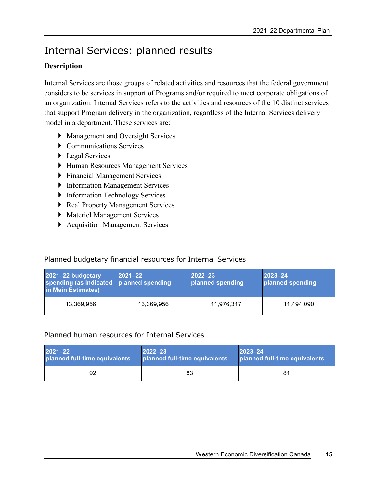## <span id="page-18-0"></span>Internal Services: planned results

#### **Description**

Internal Services are those groups of related activities and resources that the federal government considers to be services in support of Programs and/or required to meet corporate obligations of an organization. Internal Services refers to the activities and resources of the 10 distinct services that support Program delivery in the organization, regardless of the Internal Services delivery model in a department. These services are:

- Management and Oversight Services
- Communications Services
- ▶ Legal Services
- Human Resources Management Services
- Financial Management Services
- **Information Management Services**
- **Information Technology Services**
- ▶ Real Property Management Services
- Materiel Management Services
- ▶ Acquisition Management Services

#### Planned budgetary financial resources for Internal Services

| 2021-22 budgetary<br>spending (as indicated<br>in Main Estimates) | $ 2021 - 22 $<br>planned spending | $ 2022 - 23 $<br>planned spending | $ 2023 - 24 $<br>planned spending |
|-------------------------------------------------------------------|-----------------------------------|-----------------------------------|-----------------------------------|
| 13,369,956                                                        | 13,369,956                        | 11,976,317                        | 11.494.090                        |

#### Planned human resources for Internal Services

| 2021-22                       | $2022 - 23$                   | $ 2023 - 24 $                 |
|-------------------------------|-------------------------------|-------------------------------|
| planned full-time equivalents | planned full-time equivalents | planned full-time equivalents |
| 92                            | 83                            | 81                            |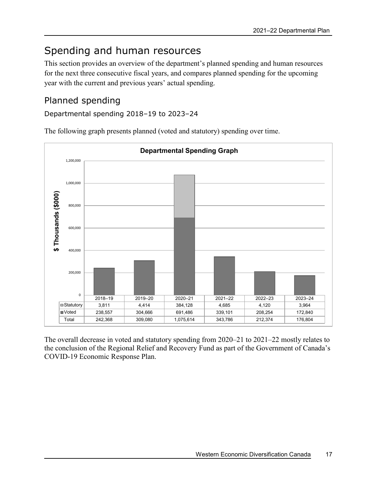## <span id="page-20-0"></span>Spending and human resources

This section provides an overview of the department's planned spending and human resources for the next three consecutive fiscal years, and compares planned spending for the upcoming year with the current and previous years' actual spending.

### <span id="page-20-1"></span>Planned spending

Departmental spending 2018–19 to 2023–24

The following graph presents planned (voted and statutory) spending over time.



The overall decrease in voted and statutory spending from 2020–21 to 2021–22 mostly relates to the conclusion of the Regional Relief and Recovery Fund as part of the Government of Canada's COVID-19 Economic Response Plan.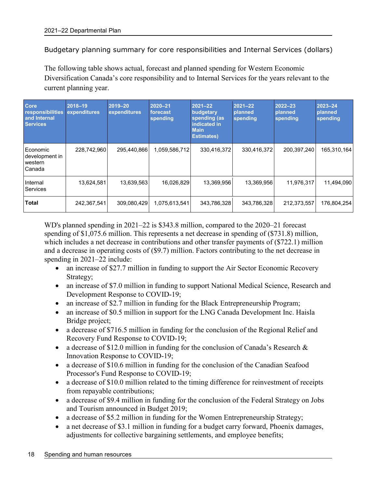Budgetary planning summary for core responsibilities and Internal Services (dollars)

The following table shows actual, forecast and planned spending for Western Economic Diversification Canada's core responsibility and to Internal Services for the years relevant to the current planning year.

| Core<br>responsibilities<br>and Internal<br><b>Services</b> | 2018-19<br>expenditures | 2019-20<br>expenditures | 2020-21<br>forecast<br>spending | $2021 - 22$<br>budgetary<br>spending (as<br>indicated in<br><b>Main</b><br><b>Estimates)</b> | $ 2021 - 22 $<br>planned<br>spending | $2022 - 23$<br>planned<br>spending | 2023-24<br>planned<br>spending |
|-------------------------------------------------------------|-------------------------|-------------------------|---------------------------------|----------------------------------------------------------------------------------------------|--------------------------------------|------------------------------------|--------------------------------|
| Economic<br>development in<br>western<br>Canada             | 228,742,960             | 295,440,866             | 1,059,586,712                   | 330,416,372                                                                                  | 330,416,372                          | 200,397,240                        | 165,310,164                    |
| Internal<br><b>Services</b>                                 | 13,624,581              | 13,639,563              | 16,026,829                      | 13,369,956                                                                                   | 13.369.956                           | 11,976,317                         | 11,494,090                     |
| <b>Total</b>                                                | 242,367,541             | 309,080,429             | 1,075,613,541                   | 343,786,328                                                                                  | 343,786,328                          | 212,373,557                        | 176,804,254                    |

WD's planned spending in 2021–22 is \$343.8 million, compared to the 2020–21 forecast spending of \$1,075.6 million. This represents a net decrease in spending of (\$731.8) million, which includes a net decrease in contributions and other transfer payments of (\$722.1) million and a decrease in operating costs of (\$9.7) million. Factors contributing to the net decrease in spending in 2021–22 include:

- an increase of \$27.7 million in funding to support the Air Sector Economic Recovery Strategy;
- an increase of \$7.0 million in funding to support National Medical Science, Research and Development Response to COVID-19;
- an increase of \$2.7 million in funding for the Black Entrepreneurship Program;
- an increase of \$0.5 million in support for the LNG Canada Development Inc. Haisla Bridge project;
- a decrease of \$716.5 million in funding for the conclusion of the Regional Relief and Recovery Fund Response to COVID-19;
- a decrease of \$12.0 million in funding for the conclusion of Canada's Research  $\&$ Innovation Response to COVID-19;
- a decrease of \$10.6 million in funding for the conclusion of the Canadian Seafood Processor's Fund Response to COVID-19;
- a decrease of \$10.0 million related to the timing difference for reinvestment of receipts from repayable contributions;
- a decrease of \$9.4 million in funding for the conclusion of the Federal Strategy on Jobs and Tourism announced in Budget 2019;
- a decrease of \$5.2 million in funding for the Women Entrepreneurship Strategy;
- a net decrease of \$3.1 million in funding for a budget carry forward, Phoenix damages, adjustments for collective bargaining settlements, and employee benefits;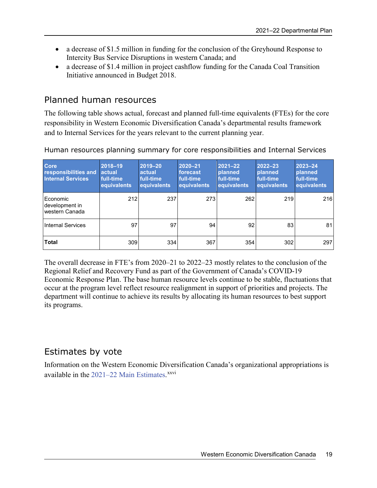- a decrease of \$1.5 million in funding for the conclusion of the Greyhound Response to Intercity Bus Service Disruptions in western Canada; and
- a decrease of \$1.4 million in project cashflow funding for the Canada Coal Transition Initiative announced in Budget 2018.

### <span id="page-22-0"></span>Planned human resources

The following table shows actual, forecast and planned full-time equivalents (FTEs) for the core responsibility in Western Economic Diversification Canada's departmental results framework and to Internal Services for the years relevant to the current planning year.

| <b>Core</b><br>responsibilities and<br><b>Internal Services</b> | 2018-19<br>actual<br>full-time<br>equivalents | 2019-20<br>actual<br>full-time<br>equivalents | $2020 - 21$<br>forecast<br>full-time<br>equivalents | $2021 - 22$<br><b>planned</b><br>full-time<br>equivalents | $2022 - 23$<br>planned<br>full-time<br>equivalents | 2023-24<br>planned<br>full-time<br>equivalents |
|-----------------------------------------------------------------|-----------------------------------------------|-----------------------------------------------|-----------------------------------------------------|-----------------------------------------------------------|----------------------------------------------------|------------------------------------------------|
| Economic<br>development in<br>Iwestern Canada                   | 212                                           | 237                                           | 273                                                 | 262                                                       | 219                                                | 216                                            |
| Internal Services                                               | 97                                            | 97                                            | 94                                                  | 92                                                        | 83                                                 | 81                                             |
| <b>Total</b>                                                    | 309                                           | 334                                           | 367                                                 | 354                                                       | 302                                                | 297                                            |

Human resources planning summary for core responsibilities and Internal Services

The overall decrease in FTE's from 2020–21 to 2022–23 mostly relates to the conclusion of the Regional Relief and Recovery Fund as part of the Government of Canada's COVID-19 Economic Response Plan. The base human resource levels continue to be stable, fluctuations that occur at the program level reflect resource realignment in support of priorities and projects. The department will continue to achieve its results by allocating its human resources to best support its programs.

### <span id="page-22-1"></span>Estimates by vote

Information on the Western Economic Diversification Canada's organizational appropriations is available in the 2021–22 [Main Estimates.](https://www.canada.ca/en/treasury-board-secretariat/services/planned-government-spending/government-expenditure-plan-main-estimates.html)<sup>[xxvi](#page-32-25)</sup>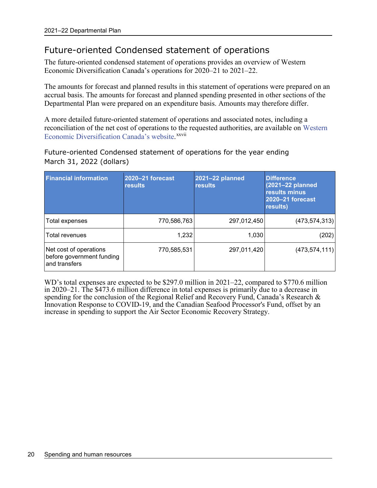### <span id="page-23-0"></span>Future-oriented Condensed statement of operations

The future-oriented condensed statement of operations provides an overview of Western Economic Diversification Canada's operations for 2020–21 to 2021–22.

The amounts for forecast and planned results in this statement of operations were prepared on an accrual basis. The amounts for forecast and planned spending presented in other sections of the Departmental Plan were prepared on an expenditure basis. Amounts may therefore differ.

A more detailed future-oriented statement of operations and associated notes, including a reconciliation of the net cost of operations to th[e](#page-32-26) requested authorities, are available on [Western](https://www.wd-deo.gc.ca/eng/59.asp)  [Economic Diversification Canada's](https://www.wd-deo.gc.ca/eng/59.asp) website. XXVII

Future-oriented Condensed statement of operations for the year ending March 31, 2022 (dollars)

| <b>Financial information</b>                                          | 2020-21 forecast<br><b>results</b> | 2021-22 planned<br><b>results</b> | <b>Difference</b><br>(2021-22 planned<br>results minus<br>2020-21 forecast<br>results) |
|-----------------------------------------------------------------------|------------------------------------|-----------------------------------|----------------------------------------------------------------------------------------|
| Total expenses                                                        | 770,586,763                        | 297,012,450                       | (473, 574, 313)                                                                        |
| Total revenues                                                        | 1,232                              | 1,030                             | (202)                                                                                  |
| Net cost of operations<br>before government funding<br>land transfers | 770,585,531                        | 297,011,420                       | (473, 574, 111)                                                                        |

WD's total expenses are expected to be \$297.0 million in 2021–22, compared to \$770.6 million in 2020–21. The \$473.6 million difference in total expenses is primarily due to a decrease in spending for the conclusion of the Regional Relief and Recovery Fund, Canada's Research & Innovation Response to COVID-19, and the Canadian Seafood Processor's Fund, offset by an increase in spending to support the Air Sector Economic Recovery Strategy.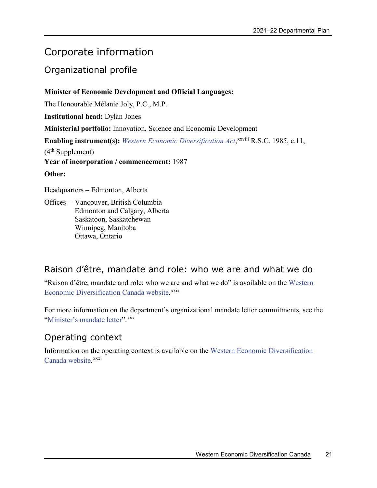## <span id="page-24-0"></span>Corporate information

### <span id="page-24-1"></span>Organizational profile

#### **Minister of Economic Development and Official Languages:**

The Honourable Mélanie Joly, P.C., M.P.

**Institutional head:** Dylan Jones

**Ministerial portfolio:** Innovation, Science and Economic Development

Enabling instrument(s): [Western Economic Diversification Act](https://laws-lois.justice.gc.ca/eng/acts/W-6.8/),<sup>xxviii</sup> [R](#page-32-27).S.C. 1985, c.11,

 $(4<sup>th</sup> Supplement)$ 

**Year of incorporation / commencement:** 1987

#### **Other:**

Headquarters – Edmonton, Alberta

Offices – Vancouver, British Columbia Edmonton and Calgary, Alberta Saskatoon, Saskatchewan Winnipeg, Manitoba Ottawa, Ontario

### <span id="page-24-2"></span>Raison d'être, mandate and role: who we are and what we do

"Raison d'être, mandate and role: who we are and what we do" is available on the [Western](https://www.wd-deo.gc.ca/eng/20145.asp)  [Economic Diversification Canada website.](https://www.wd-deo.gc.ca/eng/20145.asp)<sup>[xxix](#page-32-28)</sup>

For more information on the department's organizational mandate letter commitments, see the ["Minister's mandate letter"](https://pm.gc.ca/en/mandate-letters).[xxx](#page-32-29)

### <span id="page-24-3"></span>Operating context

Information on the operating context is available on the [Western Economic Diversification](https://www.wd-deo.gc.ca/eng/20144.asp)  Canada [website.](https://www.wd-deo.gc.ca/eng/20144.asp) [xxxi](#page-32-30)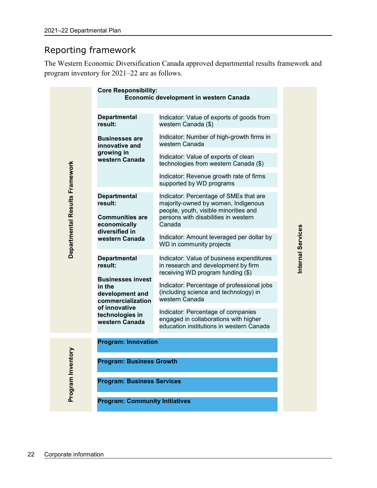### <span id="page-25-0"></span>Reporting framework

The Western Economic Diversification Canada approved departmental results framework and program inventory for 2021–22 are as follows.

|                                | <b>Core Responsibility:</b>                                                                                  | Economic development in western Canada                                                                                                                         |                   |  |  |  |
|--------------------------------|--------------------------------------------------------------------------------------------------------------|----------------------------------------------------------------------------------------------------------------------------------------------------------------|-------------------|--|--|--|
|                                | <b>Departmental</b><br>result:                                                                               | Indicator: Value of exports of goods from<br>western Canada (\$)                                                                                               |                   |  |  |  |
|                                | <b>Businesses are</b><br>innovative and                                                                      | Indicator: Number of high-growth firms in<br>western Canada                                                                                                    |                   |  |  |  |
|                                | growing in<br>western Canada                                                                                 | Indicator: Value of exports of clean<br>technologies from western Canada (\$)                                                                                  |                   |  |  |  |
|                                |                                                                                                              | Indicator: Revenue growth rate of firms<br>supported by WD programs                                                                                            |                   |  |  |  |
| Departmental Results Framework | <b>Departmental</b><br>result:<br><b>Communities are</b>                                                     | Indicator: Percentage of SMEs that are<br>majority-owned by women, Indigenous<br>people, youth, visible minorities and<br>persons with disabilities in western |                   |  |  |  |
|                                | economically<br>diversified in<br>western Canada                                                             | Canada                                                                                                                                                         |                   |  |  |  |
|                                |                                                                                                              | Indicator: Amount leveraged per dollar by<br>WD in community projects                                                                                          |                   |  |  |  |
|                                | <b>Departmental</b><br>result:<br><b>Businesses invest</b><br>in the<br>development and<br>commercialization | Indicator: Value of business expenditures<br>in research and development by firm<br>receiving WD program funding (\$)                                          | Internal Services |  |  |  |
|                                |                                                                                                              | Indicator: Percentage of professional jobs<br>(including science and technology) in<br>western Canada                                                          |                   |  |  |  |
|                                | of innovative<br>technologies in<br>western Canada                                                           | Indicator: Percentage of companies<br>engaged in collaborations with higher<br>education institutions in western Canada                                        |                   |  |  |  |
|                                | <b>Program: Innovation</b>                                                                                   |                                                                                                                                                                |                   |  |  |  |
| nor                            | <b>Program: Business Growth</b>                                                                              |                                                                                                                                                                |                   |  |  |  |
| Program Inver                  | <b>Program: Business Services</b>                                                                            |                                                                                                                                                                |                   |  |  |  |
|                                | <b>Program: Community Initiatives</b>                                                                        |                                                                                                                                                                |                   |  |  |  |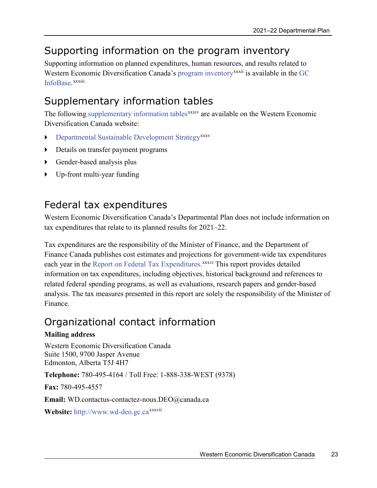## <span id="page-26-0"></span>Supporting information on the program inventory

Supporting information on planned expenditures, human resources, and results related to Western Economic Diversification Canada's [program inventory](https://www.wd-deo.gc.ca/eng/20142.asp)<sup>xxx[i](#page-32-31)i</sup> is available in the G[C](https://www.tbs-sct.gc.ca/ems-sgd/edb-bdd/index-eng.html) [InfoBase.](https://www.tbs-sct.gc.ca/ems-sgd/edb-bdd/index-eng.html) xxxiii

## <span id="page-26-1"></span>Supplementary information tables

The following [supplementary information tables](https://www.wd-deo.gc.ca/eng/20143.asp)<sup>xxxi[v](#page-32-32)</sup> are available on the Western Economic Diversification Canada website:

- [Departmental Sustainable Development Strategy](https://www.wd-deo.gc.ca/eng/57.asp)<sup>[xxxv](#page-32-33)</sup>
- Details on transfer payment programs
- Gender-based analysis plus
- Up-front multi-year funding

## <span id="page-26-2"></span>Federal tax expenditures

Western Economic Diversification Canada's Departmental Plan does not include information on tax expenditures that relate to its planned results for 2021–22.

Tax expenditures are the responsibility of the Minister of Finance, and the Department of Finance Canada publishes cost estimates and projections for government-wide tax expenditures each year in the [Report on Federal Tax Expenditures.](https://www.canada.ca/en/department-finance/services/publications/federal-tax-expenditures.html)<sup>xxxvi</sup> [T](#page-32-34)his report provides detailed information on tax expenditures, including objectives, historical background and references to related federal spending programs, as well as evaluations, research papers and gender-based analysis. The tax measures presented in this report are solely the responsibility of the Minister of Finance.

## <span id="page-26-3"></span>Organizational contact information

#### **Mailing address**

Western Economic Diversification Canada Suite 1500, 9700 Jasper Avenue Edmonton, Alberta T5J 4H7

**Telephone:** 780-495-4164 / Toll Free: 1-888-338-WEST (9378)

**Fax:** 780-495-4557

**Email:** WD.contactus-contactez-nous.DEO@canada.ca

Website: [http://www.wd-deo.gc.ca](http://www.wd-deo.gc.ca/)<sup>xxxvii</sup>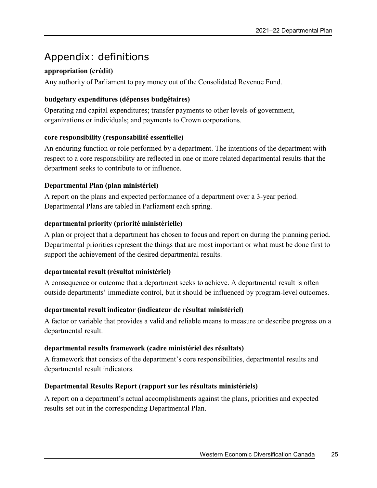## <span id="page-28-0"></span>Appendix: definitions

#### **appropriation (crédit)**

Any authority of Parliament to pay money out of the Consolidated Revenue Fund.

#### **budgetary expenditures (dépenses budgétaires)**

Operating and capital expenditures; transfer payments to other levels of government, organizations or individuals; and payments to Crown corporations.

#### **core responsibility (responsabilité essentielle)**

An enduring function or role performed by a department. The intentions of the department with respect to a core responsibility are reflected in one or more related departmental results that the department seeks to contribute to or influence.

#### **Departmental Plan (plan ministériel)**

A report on the plans and expected performance of a department over a 3-year period. Departmental Plans are tabled in Parliament each spring.

#### **departmental priority (priorité ministérielle)**

A plan or project that a department has chosen to focus and report on during the planning period. Departmental priorities represent the things that are most important or what must be done first to support the achievement of the desired departmental results.

#### **departmental result (résultat ministériel)**

A consequence or outcome that a department seeks to achieve. A departmental result is often outside departments' immediate control, but it should be influenced by program-level outcomes.

#### **departmental result indicator (indicateur de résultat ministériel)**

A factor or variable that provides a valid and reliable means to measure or describe progress on a departmental result.

#### **departmental results framework (cadre ministériel des résultats)**

A framework that consists of the department's core responsibilities, departmental results and departmental result indicators.

#### **Departmental Results Report (rapport sur les résultats ministériels)**

A report on a department's actual accomplishments against the plans, priorities and expected results set out in the corresponding Departmental Plan.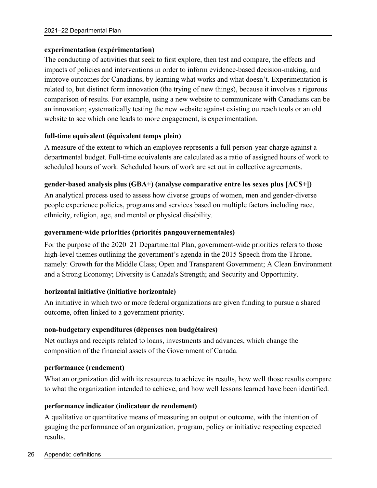#### **experimentation (expérimentation)**

The conducting of activities that seek to first explore, then test and compare, the effects and impacts of policies and interventions in order to inform evidence-based decision-making, and improve outcomes for Canadians, by learning what works and what doesn't. Experimentation is related to, but distinct form innovation (the trying of new things), because it involves a rigorous comparison of results. For example, using a new website to communicate with Canadians can be an innovation; systematically testing the new website against existing outreach tools or an old website to see which one leads to more engagement, is experimentation.

#### **full-time equivalent (équivalent temps plein)**

A measure of the extent to which an employee represents a full person-year charge against a departmental budget. Full-time equivalents are calculated as a ratio of assigned hours of work to scheduled hours of work. Scheduled hours of work are set out in collective agreements.

#### **gender-based analysis plus (GBA+) (analyse comparative entre les sexes plus [ACS+])**

An analytical process used to assess how diverse groups of women, men and gender-diverse people experience policies, programs and services based on multiple factors including race, ethnicity, religion, age, and mental or physical disability.

#### **government-wide priorities (priorités pangouvernementales)**

For the purpose of the 2020–21 Departmental Plan, government-wide priorities refers to those high-level themes outlining the government's agenda in the 2015 Speech from the Throne, namely: Growth for the Middle Class; Open and Transparent Government; A Clean Environment and a Strong Economy; Diversity is Canada's Strength; and Security and Opportunity.

#### **horizontal initiative (initiative horizontale)**

An initiative in which two or more federal organizations are given funding to pursue a shared outcome, often linked to a government priority.

#### **non-budgetary expenditures (dépenses non budgétaires)**

Net outlays and receipts related to loans, investments and advances, which change the composition of the financial assets of the Government of Canada.

#### **performance (rendement)**

What an organization did with its resources to achieve its results, how well those results compare to what the organization intended to achieve, and how well lessons learned have been identified.

#### **performance indicator (indicateur de rendement)**

A qualitative or quantitative means of measuring an output or outcome, with the intention of gauging the performance of an organization, program, policy or initiative respecting expected results.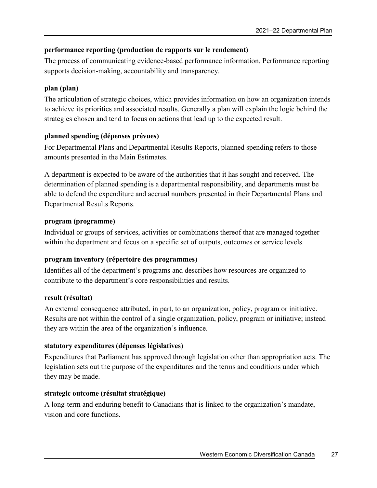#### **performance reporting (production de rapports sur le rendement)**

The process of communicating evidence-based performance information. Performance reporting supports decision-making, accountability and transparency.

#### **plan (plan)**

The articulation of strategic choices, which provides information on how an organization intends to achieve its priorities and associated results. Generally a plan will explain the logic behind the strategies chosen and tend to focus on actions that lead up to the expected result.

#### **planned spending (dépenses prévues)**

For Departmental Plans and Departmental Results Reports, planned spending refers to those amounts presented in the Main Estimates.

A department is expected to be aware of the authorities that it has sought and received. The determination of planned spending is a departmental responsibility, and departments must be able to defend the expenditure and accrual numbers presented in their Departmental Plans and Departmental Results Reports.

#### **program (programme)**

Individual or groups of services, activities or combinations thereof that are managed together within the department and focus on a specific set of outputs, outcomes or service levels.

#### **program inventory (répertoire des programmes)**

Identifies all of the department's programs and describes how resources are organized to contribute to the department's core responsibilities and results.

#### **result (résultat)**

An external consequence attributed, in part, to an organization, policy, program or initiative. Results are not within the control of a single organization, policy, program or initiative; instead they are within the area of the organization's influence.

#### **statutory expenditures (dépenses législatives)**

Expenditures that Parliament has approved through legislation other than appropriation acts. The legislation sets out the purpose of the expenditures and the terms and conditions under which they may be made.

#### **strategic outcome (résultat stratégique)**

A long-term and enduring benefit to Canadians that is linked to the organization's mandate, vision and core functions.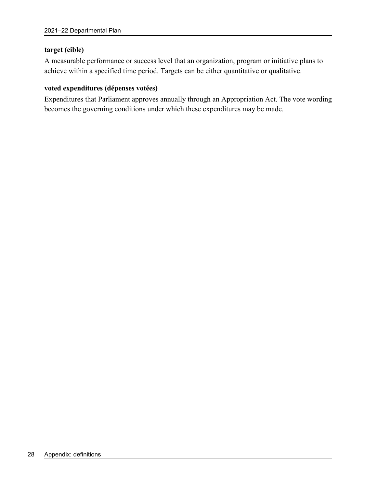#### **target (cible)**

A measurable performance or success level that an organization, program or initiative plans to achieve within a specified time period. Targets can be either quantitative or qualitative.

#### **voted expenditures (dépenses votées)**

Expenditures that Parliament approves annually through an Appropriation Act. The vote wording becomes the governing conditions under which these expenditures may be made.